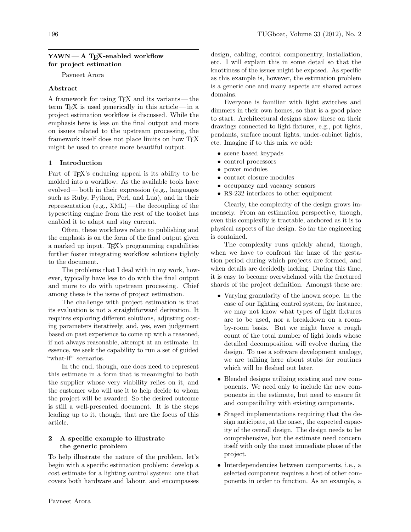# $YAWN - A TFX$ -enabled workflow for project estimation

Pavneet Arora

### Abstract

A framework for using TEX and its variants— the term TEX is used generically in this article— in a project estimation workflow is discussed. While the emphasis here is less on the final output and more on issues related to the upstream processing, the framework itself does not place limits on how TFX might be used to create more beautiful output.

## 1 Introduction

Part of T<sub>E</sub>X's enduring appeal is its ability to be molded into a workflow. As the available tools have evolved— both in their expression (e.g., languages such as Ruby, Python, Perl, and Lua), and in their representation (e.g., XML)— the decoupling of the typesetting engine from the rest of the toolset has enabled it to adapt and stay current.

Often, these workflows relate to publishing and the emphasis is on the form of the final output given a marked up input. T<sub>EX</sub>'s programming capabilities further foster integrating workflow solutions tightly to the document.

The problems that I deal with in my work, however, typically have less to do with the final output and more to do with upstream processing. Chief among these is the issue of project estimation.

The challenge with project estimation is that its evaluation is not a straightforward derivation. It requires exploring different solutions, adjusting costing parameters iteratively, and, yes, even judgement based on past experience to come up with a reasoned, if not always reasonable, attempt at an estimate. In essence, we seek the capability to run a set of guided "what-if" scenarios.

In the end, though, one does need to represent this estimate in a form that is meaningful to both the supplier whose very viability relies on it, and the customer who will use it to help decide to whom the project will be awarded. So the desired outcome is still a well-presented document. It is the steps leading up to it, though, that are the focus of this article.

# 2 A specific example to illustrate the generic problem

To help illustrate the nature of the problem, let's begin with a specific estimation problem: develop a cost estimate for a lighting control system: one that covers both hardware and labour, and encompasses

Everyone is familiar with light switches and dimmers in their own homes, so that is a good place to start. Architectural designs show these on their drawings connected to light fixtures, e.g., pot lights, pendants, surface mount lights, under-cabinet lights, etc. Imagine if to this mix we add:

- scene based keypads
- control processors
- power modules
- contact closure modules
- occupancy and vacancy sensors
- RS-232 interfaces to other equipment

Clearly, the complexity of the design grows immensely. From an estimation perspective, though, even this complexity is tractable, anchored as it is to physical aspects of the design. So far the engineering is contained.

The complexity runs quickly ahead, though, when we have to confront the haze of the gestation period during which projects are formed, and when details are decidedly lacking. During this time, it is easy to become overwhelmed with the fractured shards of the project definition. Amongst these are:

- Varying granularity of the known scope. In the case of our lighting control system, for instance, we may not know what types of light fixtures are to be used, nor a breakdown on a roomby-room basis. But we might have a rough count of the total number of light loads whose detailed decomposition will evolve during the design. To use a software development analogy, we are talking here about stubs for routines which will be fleshed out later.
- Blended designs utilizing existing and new components. We need only to include the new components in the estimate, but need to ensure fit and compatibility with existing components.
- Staged implementations requiring that the design anticipate, at the onset, the expected capacity of the overall design. The design needs to be comprehensive, but the estimate need concern itself with only the most immediate phase of the project.
- Interdependencies between components, i.e., a selected component requires a host of other components in order to function. As an example, a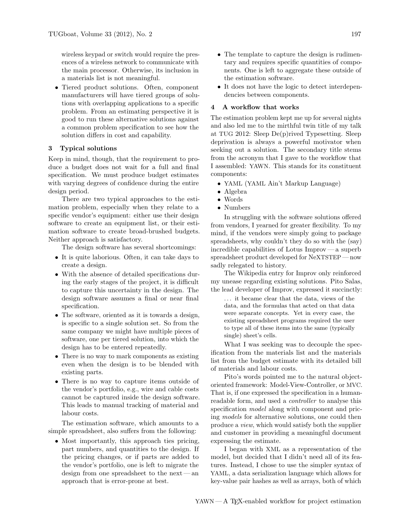wireless keypad or switch would require the presences of a wireless network to communicate with the main processor. Otherwise, its inclusion in a materials list is not meaningful.

• Tiered product solutions. Often, component manufacturers will have tiered groups of solutions with overlapping applications to a specific problem. From an estimating perspective it is good to run these alternative solutions against a common problem specification to see how the solution differs in cost and capability.

#### 3 Typical solutions

Keep in mind, though, that the requirement to produce a budget does not wait for a full and final specification. We must produce budget estimates with varying degrees of confidence during the entire design period.

There are two typical approaches to the estimation problem, especially when they relate to a specific vendor's equipment: either use their design software to create an equipment list, or their estimation software to create broad-brushed budgets. Neither approach is satisfactory.

The design software has several shortcomings:

- It is quite laborious. Often, it can take days to create a design.
- With the absence of detailed specifications during the early stages of the project, it is difficult to capture this uncertainty in the design. The design software assumes a final or near final specification.
- The software, oriented as it is towards a design, is specific to a single solution set. So from the same company we might have multiple pieces of software, one per tiered solution, into which the design has to be entered repeatedly.
- There is no way to mark components as existing even when the design is to be blended with existing parts.
- There is no way to capture items outside of the vendor's portfolio, e.g., wire and cable costs cannot be captured inside the design software. This leads to manual tracking of material and labour costs.

The estimation software, which amounts to a simple spreadsheet, also suffers from the following:

• Most importantly, this approach ties pricing, part numbers, and quantities to the design. If the pricing changes, or if parts are added to the vendor's portfolio, one is left to migrate the design from one spreadsheet to the next— an approach that is error-prone at best.

- The template to capture the design is rudimentary and requires specific quantities of components. One is left to aggregate these outside of the estimation software.
- It does not have the logic to detect interdependencies between components.

### 4 A workflow that works

The estimation problem kept me up for several nights and also led me to the mirthful twin title of my talk at TUG 2012: Sleep De(p)rived Typesetting. Sleep deprivation is always a powerful motivator when seeking out a solution. The secondary title stems from the acronym that I gave to the workflow that I assembled: YAWN. This stands for its constituent components:

- YAML (YAML Ain't Markup Language)
- Algebra
- Words
- Numbers

In struggling with the software solutions offered from vendors, I yearned for greater flexibility. To my mind, if the vendors were simply going to package spreadsheets, why couldn't they do so with the (say) incredible capabilities of Lotus Improv— a superb spreadsheet product developed for NeXTSTEP — now sadly relegated to history.

The Wikipedia entry for Improv only reinforced my unease regarding existing solutions. Pito Salas, the lead developer of Improv, expressed it succinctly:

. . . it became clear that the data, views of the data, and the formulas that acted on that data were separate concepts. Yet in every case, the existing spreadsheet programs required the user to type all of these items into the same (typically single) sheet's cells.

What I was seeking was to decouple the specification from the materials list and the materials list from the budget estimate with its detailed bill of materials and labour costs.

Pito's words pointed me to the natural objectoriented framework: Model-View-Controller, or MVC. That is, if one expressed the specification in a humanreadable form, and used a controller to analyse this specification *model* along with component and pricing models for alternative solutions, one could then produce a view, which would satisfy both the supplier and customer in providing a meaningful document expressing the estimate.

I began with XML as a representation of the model, but decided that I didn't need all of its features. Instead, I chose to use the simpler syntax of YAML, a data serialization language which allows for key-value pair hashes as well as arrays, both of which